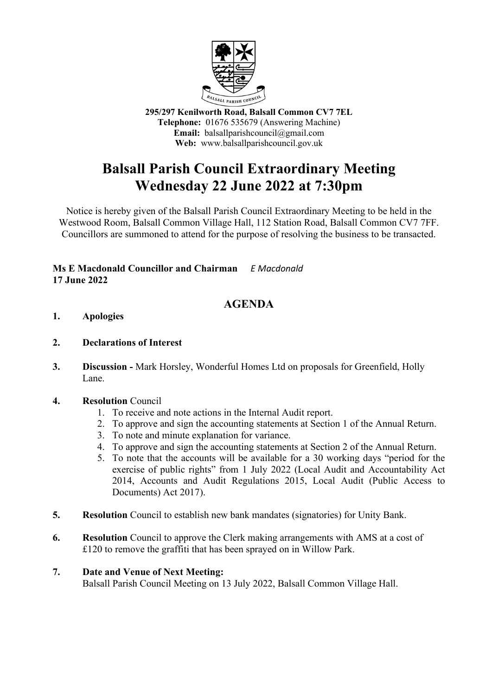

**295/297 Kenilworth Road, Balsall Common CV7 7EL Telephone:** 01676 535679 (Answering Machine) **Email:** balsallparishcouncil@gmail.com **Web:** www.balsallparishcouncil.gov.uk

## **Balsall Parish Council Extraordinary Meeting Wednesday 22 June 2022 at 7:30pm**

Notice is hereby given of the Balsall Parish Council Extraordinary Meeting to be held in the Westwood Room, Balsall Common Village Hall, 112 Station Road, Balsall Common CV7 7FF. Councillors are summoned to attend for the purpose of resolving the business to be transacted.

## **Ms E Macdonald Councillor and Chairman** *E Macdonald* **17 June 2022**

## **AGENDA**

- **1. Apologies**
- **2. Declarations of Interest**
- **3. Discussion -** Mark Horsley, Wonderful Homes Ltd on proposals for Greenfield, Holly Lane.
- **4. Resolution** Council
	- 1. To receive and note actions in the Internal Audit report.
	- 2. To approve and sign the accounting statements at Section 1 of the Annual Return.
	- 3. To note and minute explanation for variance.
	- 4. To approve and sign the accounting statements at Section 2 of the Annual Return.
	- 5. To note that the accounts will be available for a 30 working days "period for the exercise of public rights" from 1 July 2022 (Local Audit and Accountability Act 2014, Accounts and Audit Regulations 2015, Local Audit (Public Access to Documents) Act 2017).
- **5. Resolution** Council to establish new bank mandates (signatories) for Unity Bank.
- **6. Resolution** Council to approve the Clerk making arrangements with AMS at a cost of £120 to remove the graffiti that has been sprayed on in Willow Park.

## **7. Date and Venue of Next Meeting:**

Balsall Parish Council Meeting on 13 July 2022, Balsall Common Village Hall.